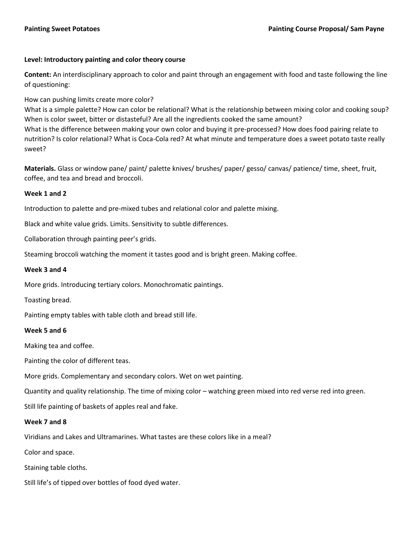# **Level: Introductory painting and color theory course**

**Content:** An interdisciplinary approach to color and paint through an engagement with food and taste following the line of questioning:

# How can pushing limits create more color?

What is a simple palette? How can color be relational? What is the relationship between mixing color and cooking soup? When is color sweet, bitter or distasteful? Are all the ingredients cooked the same amount? What is the difference between making your own color and buying it pre-processed? How does food pairing relate to nutrition? Is color relational? What is Coca-Cola red? At what minute and temperature does a sweet potato taste really sweet?

**Materials.** Glass or window pane/ paint/ palette knives/ brushes/ paper/ gesso/ canvas/ patience/ time, sheet, fruit, coffee, and tea and bread and broccoli.

### **Week 1 and 2**

Introduction to palette and pre-mixed tubes and relational color and palette mixing.

Black and white value grids. Limits. Sensitivity to subtle differences.

Collaboration through painting peer's grids.

Steaming broccoli watching the moment it tastes good and is bright green. Making coffee.

### **Week 3 and 4**

More grids. Introducing tertiary colors. Monochromatic paintings.

Toasting bread.

Painting empty tables with table cloth and bread still life.

### **Week 5 and 6**

Making tea and coffee.

Painting the color of different teas.

More grids. Complementary and secondary colors. Wet on wet painting.

Quantity and quality relationship. The time of mixing color – watching green mixed into red verse red into green.

Still life painting of baskets of apples real and fake.

### **Week 7 and 8**

Viridians and Lakes and Ultramarines. What tastes are these colors like in a meal?

Color and space.

Staining table cloths.

Still life's of tipped over bottles of food dyed water.